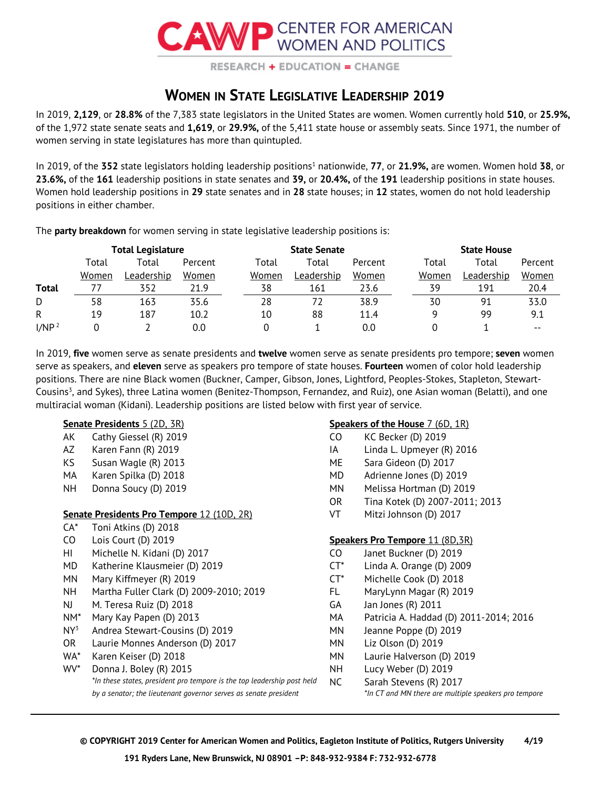

**RESEARCH + EDUCATION = CHANGE** 

## **WOMEN IN STATE LEGISLATIVE LEADERSHIP 2019**

In 2019, **2,129**, or **28.8%** of the 7,383 state legislators in the United States are women. Women currently hold **510**, or **25.9%,** of the 1,972 state senate seats and **1,619**, or **29.9%,** of the 5,411 state house or assembly seats. Since 1971, the number of women serving in state legislatures has more than quintupled.

In 2019, of the 352 state legislators holding leadership positions<sup>1</sup> nationwide, 77, or 21.9%, are women. Women hold 38, or **23.6%,** of the **161** leadership positions in state senates and **39,** or **20.4%,** of the **191** leadership positions in state houses. Women hold leadership positions in **29** state senates and in **28** state houses; in **12** states, women do not hold leadership positions in either chamber.

The **party breakdown** for women serving in state legislative leadership positions is:

|                   | <b>Total Legislature</b> |                   |         | <b>State Senate</b> |                   |         |  | <b>State House</b> |                   |         |
|-------------------|--------------------------|-------------------|---------|---------------------|-------------------|---------|--|--------------------|-------------------|---------|
|                   | Total                    | Total             | Percent | Total               | Total             | Percent |  | Total              | Total             | Percent |
|                   | Women                    | <u>Leadership</u> | Women   | Women               | <u>Leadership</u> | Women   |  | Women              | <u>Leadership</u> | Women   |
| <b>Total</b>      |                          | 352               | 21.9    | 38                  | 161               | 23.6    |  | 39                 | 191               | 20.4    |
| D                 | 58                       | 163               | 35.6    | 28                  | 72                | 38.9    |  | 30                 | 91                | 33.0    |
| R                 | 19                       | 187               | 10.2    | 10                  | 88                | 11.4    |  |                    | 99                | 9.1     |
| I/NP <sup>2</sup> |                          |                   | 0.0     |                     |                   | 0.0     |  |                    |                   | $- -$   |

In 2019, **five** women serve as senate presidents and **twelve** women serve as senate presidents pro tempore; **seven** women serve as speakers, and **eleven** serve as speakers pro tempore of state houses. **Fourteen** women of color hold leadership positions. There are nine Black women (Buckner, Camper, Gibson, Jones, Lightford, Peoples-Stokes, Stapleton, Stewart-Cousins<sup>3</sup>, and Sykes), three Latina women (Benitez-Thompson, Fernandez, and Ruiz), one Asian woman (Belatti), and one multiracial woman (Kidani). Leadership positions are listed below with first year of service.

|                 | <b>Senate Presidents 5 (2D, 3R)</b>                                     |           | <b>Speakers of the House 7 (6D, 1R)</b> |
|-----------------|-------------------------------------------------------------------------|-----------|-----------------------------------------|
| AK              | Cathy Giessel (R) 2019                                                  | CO        | KC Becker (D) 2019                      |
| AZ              | Karen Fann (R) 2019                                                     | IA        | Linda L. Upmeyer (R) 2016               |
| KS.             | Susan Wagle (R) 2013                                                    | ME        | Sara Gideon (D) 2017                    |
| MA              | Karen Spilka (D) 2018                                                   | MD        | Adrienne Jones (D) 2019                 |
| NH.             | Donna Soucy (D) 2019                                                    | МN        | Melissa Hortman (D) 2019                |
|                 |                                                                         | <b>OR</b> | Tina Kotek (D) 2007-2011; 2013          |
|                 | <b>Senate Presidents Pro Tempore 12 (10D, 2R)</b>                       | VT        | Mitzi Johnson (D) 2017                  |
| CA*             | Toni Atkins (D) 2018                                                    |           |                                         |
| CO              | Lois Court (D) 2019                                                     |           | <b>Speakers Pro Tempore 11 (8D,3R)</b>  |
| HL              | Michelle N. Kidani (D) 2017                                             | CO.       | Janet Buckner (D) 2019                  |
| MD              | Katherine Klausmeier (D) 2019                                           | $CT^*$    | Linda A. Orange (D) 2009                |
| ΜN              | Mary Kiffmeyer (R) 2019                                                 | $CT^*$    | Michelle Cook (D) 2018                  |
| NH.             | Martha Fuller Clark (D) 2009-2010; 2019                                 | FL.       | MaryLynn Magar (R) 2019                 |
| NJ.             | M. Teresa Ruiz (D) 2018                                                 | GA        | Jan Jones (R) 2011                      |
| NM*             | Mary Kay Papen (D) 2013                                                 | MA        | Patricia A. Haddad (D) 2011-2014; 2016  |
| $NY^3$          | Andrea Stewart-Cousins (D) 2019                                         | ΜN        | Jeanne Poppe (D) 2019                   |
| OR.             | Laurie Monnes Anderson (D) 2017                                         | МN        | Liz Olson (D) 2019                      |
| WA*             | Karen Keiser (D) 2018                                                   | ΜN        | Laurie Halverson (D) 2019               |
| WV <sup>*</sup> | Donna J. Boley (R) 2015                                                 | <b>NH</b> | Lucy Weber (D) 2019                     |
|                 | *In these states, president pro tempore is the top leadership post held | <b>NC</b> | Sarah Stevens (R) 2017                  |

*by a senator; the lieutenant governor serves as senate president \*In CT and MN there are multiple speakers pro tempore*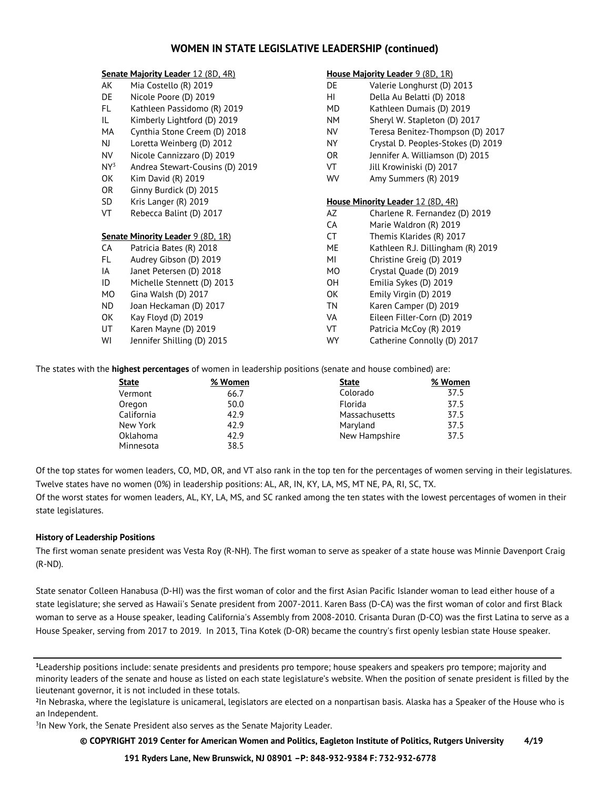## **WOMEN IN STATE LEGISLATIVE LEADERSHIP (continued)**

|        | <b>Senate Majority Leader 12 (8D, 4R)</b> |           | House Majority Leader 9 (8D, 1R)         |
|--------|-------------------------------------------|-----------|------------------------------------------|
| AK     | Mia Costello (R) 2019                     | DE        | Valerie Longhurst (D) 2013               |
| DE     | Nicole Poore (D) 2019                     | HL        | Della Au Belatti (D) 2018                |
| FL.    | Kathleen Passidomo (R) 2019               | MD        | Kathleen Dumais (D) 2019                 |
| IL.    | Kimberly Lightford (D) 2019               | NΜ        | Sheryl W. Stapleton (D) 2017             |
| MA     | Cynthia Stone Creem (D) 2018              | NV        | Teresa Benitez-Thompson (D) 2017         |
| NJ.    | Loretta Weinberg (D) 2012                 | NY        | Crystal D. Peoples-Stokes (D) 2019       |
| NV.    | Nicole Cannizzaro (D) 2019                | OR.       | Jennifer A. Williamson (D) 2015          |
| $NY^3$ | Andrea Stewart-Cousins (D) 2019           | VT        | Jill Krowiniski (D) 2017                 |
| OK     | Kim David (R) 2019                        | <b>WV</b> | Amy Summers (R) 2019                     |
| OR     | Ginny Burdick (D) 2015                    |           |                                          |
| SD     | Kris Langer (R) 2019                      |           | <b>House Minority Leader 12 (8D, 4R)</b> |
| VT     | Rebecca Balint (D) 2017                   | AZ        | Charlene R. Fernandez (D) 2019           |
|        |                                           | CA        | Marie Waldron (R) 2019                   |
|        | <b>Senate Minority Leader 9 (8D, 1R)</b>  | CT        | Themis Klarides (R) 2017                 |
| CA     | Patricia Bates (R) 2018                   | ME        | Kathleen R.J. Dillingham (R) 2019        |
| FL.    | Audrey Gibson (D) 2019                    | MI        | Christine Greig (D) 2019                 |
| IA     | Janet Petersen (D) 2018                   | MO        | Crystal Quade (D) 2019                   |
| ID     | Michelle Stennett (D) 2013                | 0H        | Emilia Sykes (D) 2019                    |
| MO     | Gina Walsh (D) 2017                       | OK        | Emily Virgin (D) 2019                    |
| ND.    | Joan Heckaman (D) 2017                    | <b>TN</b> | Karen Camper (D) 2019                    |
| OK     | Kay Floyd (D) 2019                        | VA        | Eileen Filler-Corn (D) 2019              |
| UT     | Karen Mayne (D) 2019                      | VT        | Patricia McCoy (R) 2019                  |
| WI     | Jennifer Shilling (D) 2015                | WY        | Catherine Connolly (D) 2017              |

The states with the **highest percentages** of women in leadership positions (senate and house combined) are:

| % Women | <b>State</b>  | % Women |
|---------|---------------|---------|
| 66.7    | Colorado      | 37.5    |
| 50.0    | Florida       | 37.5    |
| 42.9    | Massachusetts | 37.5    |
| 42.9    | Maryland      | 37.5    |
| 42.9    | New Hampshire | 37.5    |
| 38.5    |               |         |
|         |               |         |

Of the top states for women leaders, CO, MD, OR, and VT also rank in the top ten for the percentages of women serving in their legislatures. Twelve states have no women (0%) in leadership positions: AL, AR, IN, KY, LA, MS, MT NE, PA, RI, SC, TX.

Of the worst states for women leaders, AL, KY, LA, MS, and SC ranked among the ten states with the lowest percentages of women in their state legislatures.

## **History of Leadership Positions**

The first woman senate president was Vesta Roy (R-NH). The first woman to serve as speaker of a state house was Minnie Davenport Craig (R-ND).

State senator Colleen Hanabusa (D-HI) was the first woman of color and the first Asian Pacific Islander woman to lead either house of a state legislature; she served as Hawaii's Senate president from 2007-2011. Karen Bass (D-CA) was the first woman of color and first Black woman to serve as a House speaker, leading California's Assembly from 2008-2010. Crisanta Duran (D-CO) was the first Latina to serve as a House Speaker, serving from 2017 to 2019. In 2013, Tina Kotek (D-OR) became the country's first openly lesbian state House speaker.

<sup>3</sup>In New York, the Senate President also serves as the Senate Majority Leader.

 **© COPYRIGHT 2019 Center for American Women and Politics, Eagleton Institute of Politics, Rutgers University 4/19**

 **191 Ryders Lane, New Brunswick, NJ 08901 –P: 848-932-9384 F: 732-932-6778**

**<sup>1</sup>**Leadership positions include: senate presidents and presidents pro tempore; house speakers and speakers pro tempore; majority and minority leaders of the senate and house as listed on each state legislature's website. When the position of senate president is filled by the lieutenant governor, it is not included in these totals.

**<sup>2</sup>**In Nebraska, where the legislature is unicameral, legislators are elected on a nonpartisan basis. Alaska has a Speaker of the House who is an Independent.